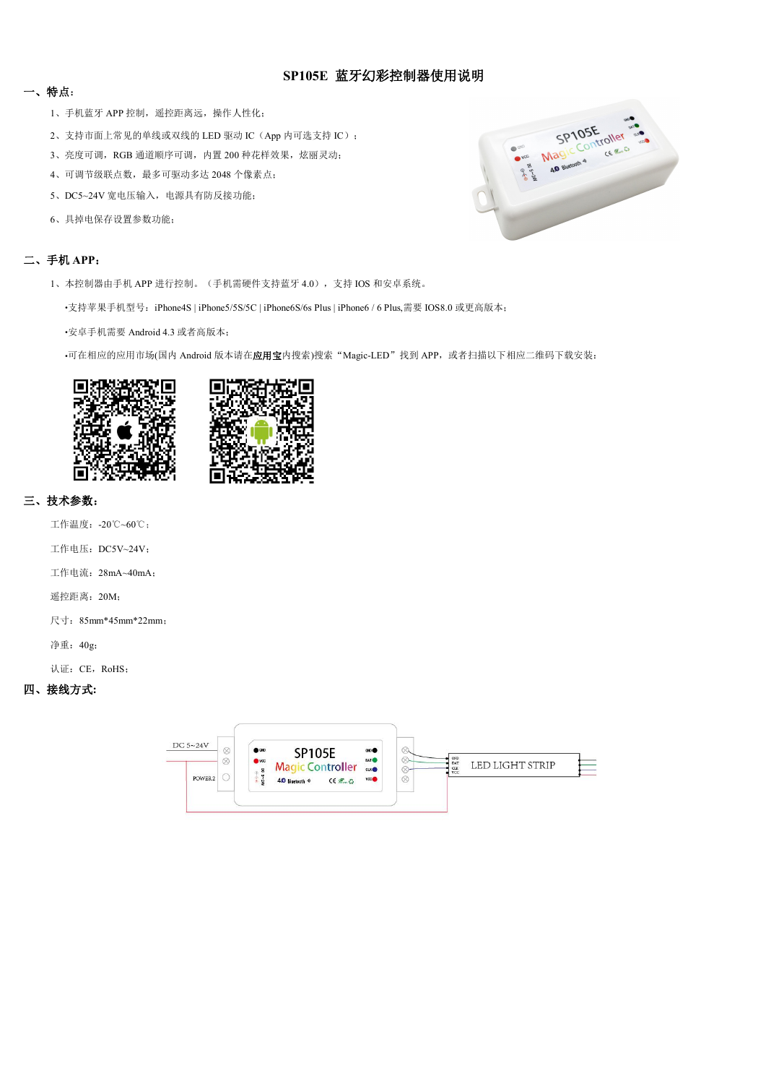# **SP105E** 蓝牙幻彩控制器使用说明

## 一、特点:

- 1、手机蓝牙 APP 控制, 遥控距离远, 操作人性化;
- 2、支持市面上常见的单线或双线的 LED 驱动 IC (App 内可选支持 IC);
- 3、亮度可调, RGB 通道顺序可调, 内置 200 种花样效果, 炫丽灵动;
- 4、可调节级联点数,最多可驱动多达 2048 个像素点;
- 5、DC5~24V 宽电压输入,电源具有防反接功能;
- 6、具掉电保存设置参数功能;

# SP105E CER

### 二、手机 **APP**:

- 1、本控制器由手机 APP 进行控制。(手机需硬件支持蓝牙 4.0),支持 IOS 和安卓系统。
	- •支持苹果手机型号:iPhone4S | iPhone5/5S/5C | iPhone6S/6s Plus | iPhone6 / 6 Plus,需要 IOS8.0 或更高版本;

•安卓手机需要 Android 4.3 或者高版本;

•可在相应的应用市场(国内 Android 版本请在应用宝内搜索)搜索"Magic-LED"找到 APP, 或者扫描以下相应二维码下载安装:





## 三、技术参数:

工作温度:-20℃~60℃; 工作电压: DC5V~24V;

工作电流:28mA~40mA;

遥控距离:20M;

尺寸:85mm\*45mm\*22mm;

净重:40g;

认证: CE, RoHS;

## 四、接线方式**:**